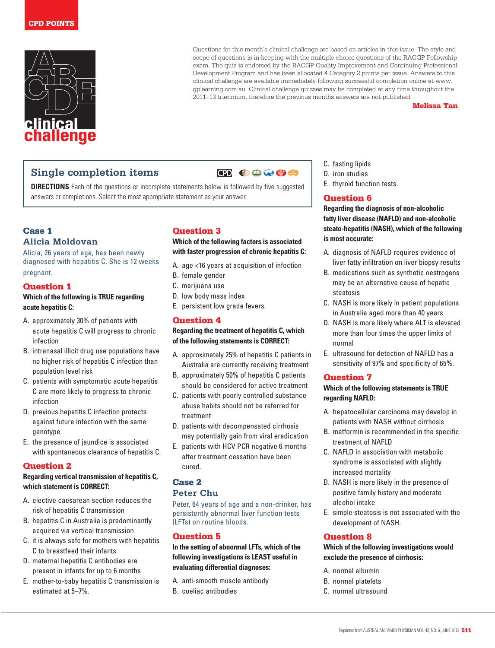

Questions for this month's clinical challenge are based on articles in this issue. The style and scope of questions is in keeping with the multiple choice questions of the RACGP Fellowship exam. The quiz is endorsed by the RACGP Quality Improvement and Continuing Professional Development Program and has been allocated 4 Category 2 points per issue. Answers to this clinical challenge are available immediately following successful completion online at www. gplearning.com.au. Clinical challenge quizzes may be completed at any time throughout the 2011–13 triennium, therefore the previous months answers are not published.

### Melissa Tan

# **Single completion items**

 $\bullet$   $\bullet$   $\bullet$   $\bullet$ 

**DIRECTIONS** Each of the questions or incomplete statements below is followed by five suggested answers or completions. Select the most appropriate statement as your answer.

# Case 1 **Alicia Moldovan**

Alicia, 26 years of age, has been newly diagnosed with hepatitis C. She is 12 weeks pregnant.

### Question 1

### **Which of the following is TRUE regarding acute hepatitis C:**

- A. approximately 30% of patients with acute hepatitis C will progress to chronic infection
- B. intranasal illicit drug use populations have no higher risk of hepatitis C infection than population level risk
- C. patients with symptomatic acute hepatitis C are more likely to progress to chronic infection
- D. previous hepatitis C infection protects against future infection with the same genotype
- E. the presence of jaundice is associated with spontaneous clearance of hepatitis C.

### Question 2

### **Regarding vertical transmission of hepatitis C, which statement is CORRECT:**

- A. elective caesarean section reduces the risk of hepatitis C transmission
- B. hepatitis C in Australia is predominantly acquired via vertical transmission
- C. it is always safe for mothers with hepatitis C to breastfeed their infants
- D. maternal hepatitis C antibodies are present in infants for up to 6 months
- E. mother-to-baby hepatitis C transmission is estimated at 5–7%.

### Question 3

### **Which of the following factors is associated with faster progression of chronic hepatitis C:**

- A. age <16 years at acquisition of infection
- B. female gender
- C. marijuana use
- D. low body mass index
- E. persistent low grade fevers.

### Question 4

### **Regarding the treatment of hepatitis C, which of the following statements is CORRECT:**

- A. approximately 25% of hepatitis C patients in Australia are currently receiving treatment
- B. approximately 50% of hepatitis C patients should be considered for active treatment
- C. patients with poorly controlled substance abuse habits should not be referred for treatment
- D. patients with decompensated cirrhosis may potentially gain from viral eradication
- E. patients with HCV PCR negative 6 months after treatment cessation have been cured.

# Case 2

# **Peter Chu**

Peter, 64 years of age and a non-drinker, has persistently abnormal liver function tests (LFTs) on routine bloods.

### Question 5

**In the setting of abnormal LFTs, which of the following investigations is LEAST useful in evaluating differential diagnoses:**

A. anti-smooth muscle antibody B. coeliac antibodies

- C. fasting lipids
- D. iron studies
- E. thyroid function tests.

### Question 6

**Regarding the diagnosis of non-alcoholic fatty liver disease (NAFLD) and non-alcoholic steato-hepatitis (NASH), which of the following is most accurate:**

- A. diagnosis of NAFLD requires evidence of liver fatty infiltration on liver biopsy results
- B. medications such as synthetic oestrogens may be an alternative cause of hepatic steatosis
- C. NASH is more likely in patient populations in Australia aged more than 40 years
- D. NASH is more likely where ALT is elevated more than four times the upper limits of normal
- E. ultrasound for detection of NAFLD has a sensitivity of 97% and specificity of 65%.

### Question 7

### **Which of the following statements is TRUE regarding NAFLD:**

- A. hepatocellular carcinoma may develop in patients with NASH without cirrhosis
- B. metformin is recommended in the specific treatment of NAFLD
- C. NAFLD in association with metabolic syndrome is associated with slightly increased mortality
- D. NASH is more likely in the presence of positive family history and moderate alcohol intake
- E. simple steatosis is not associated with the development of NASH.

### Question 8

### **Which of the following investigations would exclude the presence of cirrhosis:**

- A. normal albumin
- B. normal platelets
- C. normal ultrasound